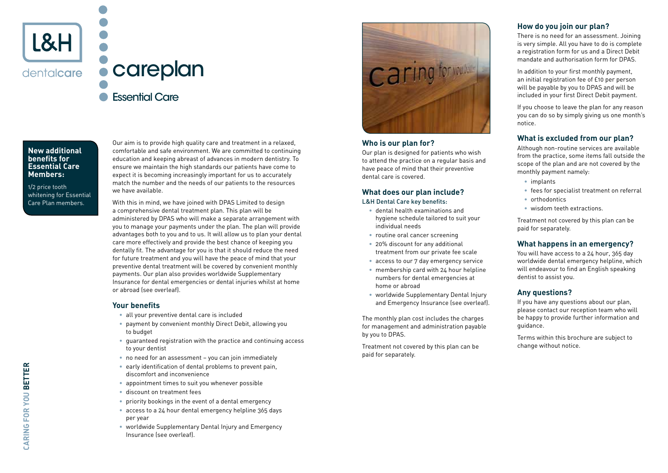

### careplan Essential Care

**New additional benefits for Essential Care Members:** 

1/2 price tooth whitening for Essential Care Plan members.

Our aim is to provide high quality care and treatment in a relaxed. comfortable and safe environment. We are committed to continuing education and keeping abreast of advances in modern dentistry. To ensure we maintain the high standards our patients have come to expect it is becoming increasingly important for us to accurately match the number and the needs of our patients to the resources we have available.

With this in mind, we have joined with DPAS Limited to design a comprehensive dental treatment plan. This plan will be administered by DPAS who will make a separate arrangement with you to manage your payments under the plan. The plan will provide advantages both to you and to us. It will allow us to plan your dental care more effectively and provide the best chance of keeping you dentally fit. The advantage for you is that it should reduce the need for future treatment and you will have the peace of mind that your preventive dental treatment will be covered by convenient monthly payments. Our plan also provides worldwide Supplementary Insurance for dental emergencies or dental injuries whilst at home or abroad (see overleaf).

#### **Your benefits**

- all your preventive dental care is included
- payment by convenient monthly Direct Debit, allowing you to budget
- guaranteed registration with the practice and continuing access to your dentist
- no need for an assessment you can join immediately
- early identification of dental problems to prevent pain, discomfort and inconvenience
- appointment times to suit you whenever possible
- discount on treatment fees
- priority bookings in the event of a dental emergency
- access to a 24 hour dental emergency helpline 365 days per year
- worldwide Supplementary Dental Injury and Emergency Insurance (see overleaf).



#### **Who is our plan for?**

Our plan is designed for patients who wish to attend the practice on a regular basis and have peace of mind that their preventive dental care is covered.

#### **What does our plan include?** L&H Dental Care key benefits:

- dental health examinations and hygiene schedule tailored to suit your individual needs
- routine oral cancer screening
- 20% discount for any additional treatment from our private fee scale
- access to our 7 day emergency service
- membership card with 24 hour helpline numbers for dental emergencies at home or abroad
- worldwide Supplementary Dental Injury and Emergency Insurance (see overleaf).

The monthly plan cost includes the charges for management and administration payable by you to DPAS.

Treatment not covered by this plan can be paid for separately.

#### **How do you join our plan?**

There is no need for an assessment. Joining is very simple. All you have to do is complete a registration form for us and a Direct Debit mandate and authorisation form for DPAS.

In addition to your first monthly payment, an initial registration fee of £10 per person will be payable by you to DPAS and will be included in your first Direct Debit payment.

If you choose to leave the plan for any reason you can do so by simply giving us one month's notice.

#### **What is excluded from our plan?**

Although non-routine services are available from the practice, some items fall outside the scope of the plan and are not covered by the monthly payment namely:

- implants
- fees for specialist treatment on referral
- orthodontics
- wisdom teeth extractions.

Treatment not covered by this plan can be paid for separately.

#### **What happens in an emergency?**

You will have access to a 24 hour, 365 day worldwide dental emergency helpline, which will endeavour to find an English speaking dentist to assist you.

#### **Any questions?**

If you have any questions about our plan, please contact our reception team who will be happy to provide further information and guidance.

Terms within this brochure are subject to change without notice.